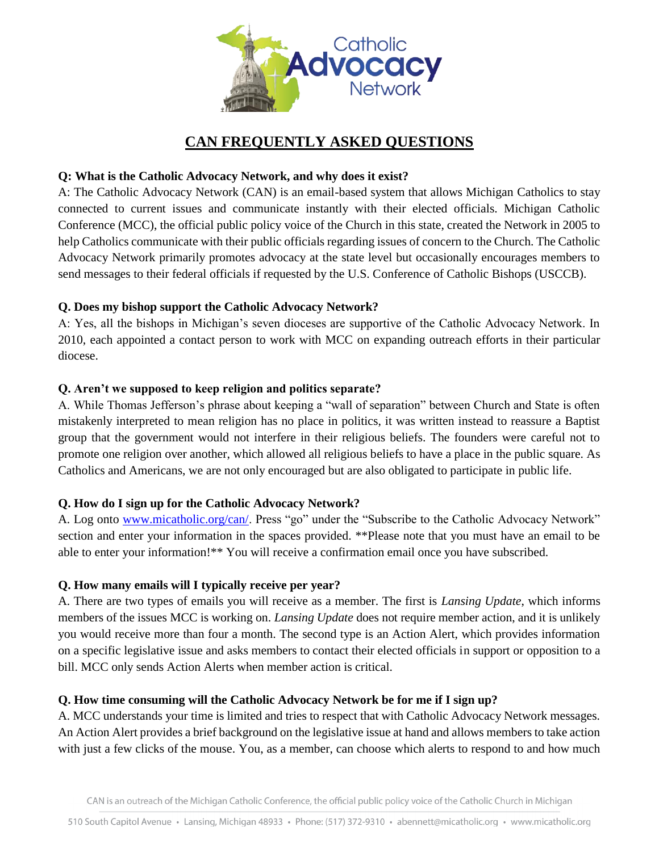

# **CAN FREQUENTLY ASKED QUESTIONS**

## **Q: What is the Catholic Advocacy Network, and why does it exist?**

A: The Catholic Advocacy Network (CAN) is an email-based system that allows Michigan Catholics to stay connected to current issues and communicate instantly with their elected officials. Michigan Catholic Conference (MCC), the official public policy voice of the Church in this state, created the Network in 2005 to help Catholics communicate with their public officials regarding issues of concern to the Church. The Catholic Advocacy Network primarily promotes advocacy at the state level but occasionally encourages members to send messages to their federal officials if requested by the U.S. Conference of Catholic Bishops (USCCB).

## **Q. Does my bishop support the Catholic Advocacy Network?**

A: Yes, all the bishops in Michigan's seven dioceses are supportive of the Catholic Advocacy Network. In 2010, each appointed a contact person to work with MCC on expanding outreach efforts in their particular diocese.

## **Q. Aren't we supposed to keep religion and politics separate?**

A. While Thomas Jefferson's phrase about keeping a "wall of separation" between Church and State is often mistakenly interpreted to mean religion has no place in politics, it was written instead to reassure a Baptist group that the government would not interfere in their religious beliefs. The founders were careful not to promote one religion over another, which allowed all religious beliefs to have a place in the public square. As Catholics and Americans, we are not only encouraged but are also obligated to participate in public life.

# **Q. How do I sign up for the Catholic Advocacy Network?**

A. Log onto [www.micatholic.org/can/.](http://www.micatholic.org/can/) Press "go" under the "Subscribe to the Catholic Advocacy Network" section and enter your information in the spaces provided. \*\*Please note that you must have an email to be able to enter your information!\*\* You will receive a confirmation email once you have subscribed.

#### **Q. How many emails will I typically receive per year?**

A. There are two types of emails you will receive as a member. The first is *Lansing Update*, which informs members of the issues MCC is working on. *Lansing Update* does not require member action, and it is unlikely you would receive more than four a month. The second type is an Action Alert, which provides information on a specific legislative issue and asks members to contact their elected officials in support or opposition to a bill. MCC only sends Action Alerts when member action is critical.

# **Q. How time consuming will the Catholic Advocacy Network be for me if I sign up?**

A. MCC understands your time is limited and tries to respect that with Catholic Advocacy Network messages. An Action Alert provides a brief background on the legislative issue at hand and allows members to take action with just a few clicks of the mouse. You, as a member, can choose which alerts to respond to and how much